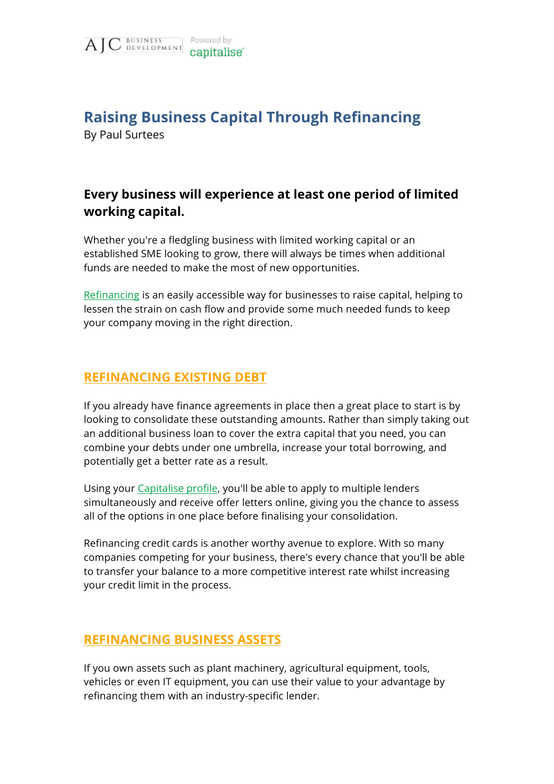

# **Raising Business Capital Through Refinancing**

By Paul Surtees

## **Every business will experience at least one period of limited working capital.**

Whether you're a fledgling business with limited working capital or an established SME looking to grow, there will always be times when additional funds are needed to make the most of new opportunities.

[Refinancing](https://capitalise.com/refinancing?utm_source=ajc-business-development&utm_medium=website-pdfs) is an easily accessible way for businesses to raise capital, helping to lessen the strain on cash flow and provide some much needed funds to keep your company moving in the right direction.

### **REFINANCING EXISTING DEBT**

If you already have finance agreements in place then a great place to start is by looking to consolidate these outstanding amounts. Rather than simply taking out an additional business loan to cover the extra capital that you need, you can combine your debts under one umbrella, increase your total borrowing, and potentially get a better rate as a result.

Using your [Capitalise profile,](https://capitalise.com/#modal-survey?utm_source=ajc-business-development&utm_medium=website-pdfs) you'll be able to apply to multiple lenders simultaneously and receive offer letters online, giving you the chance to assess all of the options in one place before finalising your consolidation.

Refinancing credit cards is another worthy avenue to explore. With so many companies competing for your business, there's every chance that you'll be able to transfer your balance to a more competitive interest rate whilst increasing your credit limit in the process.

### **REFINANCING BUSINESS ASSETS**

If you own assets such as plant machinery, agricultural equipment, tools, vehicles or even IT equipment, you can use their value to your advantage by refinancing them with an industry-specific lender.